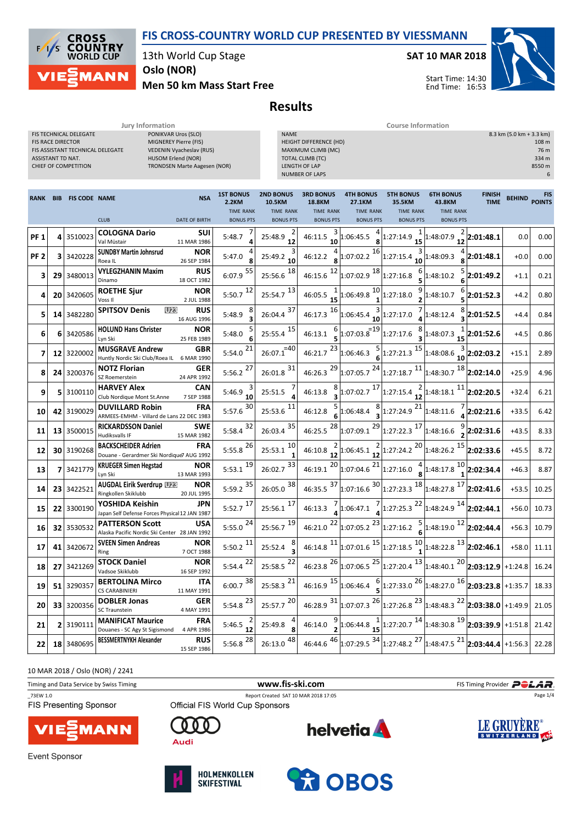

13th World Cup Stage

Oslo (NOR)

**CROSS COUNTRY**<br>WORLD CUP

**MANN** 

 $\sqrt{2}$ ľς

SAT 10 MAR 2018



Men 50 km Mass Start Free

## Results

**Jury Information** Course Information Course Information

| <b>FIS TECHNICAL DELEGATE</b><br>PONIKVAR Uros (SLO)<br><b>FIS RACE DIRECTOR</b><br>MIGNEREY Pierre (FIS)<br>FIS ASSISTANT TECHNICAL DELEGATE<br>VEDENIN Vyacheslav (RUS)<br>ASSISTANT TD NAT.<br>HUSOM Erlend (NOR)<br>CHIEF OF COMPETITION<br><b>TRONDSEN Marte Aagesen (NOR)</b> |            |                      |                                                                         |                           | 8.3 km (5.0 km + 3.3 km)<br><b>NAME</b><br>HEIGHT DIFFERENCE (HD)<br>MAXIMUM CLIMB (MC)<br><b>TOTAL CLIMB (TC)</b><br><b>LENGTH OF LAP</b><br><b>NUMBER OF LAPS</b> |                                                |                                                       |                                                |                                                                                                                                                                                                                                                                                                                       |                                                | 108 m<br>76 m<br>334 m<br>8550 m<br>6 |               |                             |
|-------------------------------------------------------------------------------------------------------------------------------------------------------------------------------------------------------------------------------------------------------------------------------------|------------|----------------------|-------------------------------------------------------------------------|---------------------------|---------------------------------------------------------------------------------------------------------------------------------------------------------------------|------------------------------------------------|-------------------------------------------------------|------------------------------------------------|-----------------------------------------------------------------------------------------------------------------------------------------------------------------------------------------------------------------------------------------------------------------------------------------------------------------------|------------------------------------------------|---------------------------------------|---------------|-----------------------------|
| <b>RANK</b>                                                                                                                                                                                                                                                                         | <b>BIB</b> | <b>FIS CODE NAME</b> |                                                                         | <b>NSA</b>                | <b>1ST BONUS</b><br>2.2KM<br><b>TIME RANK</b>                                                                                                                       | <b>2ND BONUS</b><br>10.5KM<br><b>TIME RANK</b> | <b>3RD BONUS</b><br><b>18.8KM</b><br><b>TIME RANK</b> | <b>4TH BONUS</b><br>27.1KM<br><b>TIME RANK</b> | <b>5TH BONUS</b><br>35.5KM<br><b>TIME RANK</b>                                                                                                                                                                                                                                                                        | <b>6TH BONUS</b><br>43.8KM<br><b>TIME RANK</b> | FINISH<br><b>TIME</b>                 | <b>BEHIND</b> | <b>FIS</b><br><b>POINTS</b> |
|                                                                                                                                                                                                                                                                                     |            |                      | <b>CLUB</b>                                                             | <b>DATE OF BIRTH</b>      | <b>BONUS PTS</b>                                                                                                                                                    | <b>BONUS PTS</b>                               | <b>BONUS PTS</b>                                      | <b>BONUS PTS</b>                               | <b>BONUS PTS</b>                                                                                                                                                                                                                                                                                                      | <b>BONUS PTS</b>                               |                                       |               |                             |
| <b>PF1</b>                                                                                                                                                                                                                                                                          | 4          | 3510023              | <b>COLOGNA Dario</b><br>Val Müstair                                     | SUI<br>11 MAR 1986        | 5:48.7                                                                                                                                                              | 25:48.9<br>12                                  | 46:11.5<br>10                                         | 1:06:45.5                                      | $\begin{array}{c} 1 \\ 15 \end{array}$<br>1:27:14.9                                                                                                                                                                                                                                                                   | 1:48:07.9                                      | 2:01:48.1                             | 0.0           | 0.00                        |
| PF <sub>2</sub>                                                                                                                                                                                                                                                                     | 3          | 3420228              | <b>SUNDBY Martin Johnsrud</b><br>Roea IL                                | NOR<br>26 SEP 1984        | 5:47.0<br>8                                                                                                                                                         | 25:49.2<br>10                                  | 46:12.2                                               | 16<br>1:07:02.2                                | 1:27:15.4<br>10                                                                                                                                                                                                                                                                                                       | 1:48:09.3<br>8                                 | 2:01:48.1                             | $+0.0$        | 0.00                        |
| 3                                                                                                                                                                                                                                                                                   | 29         | 3480013              | <b>VYLEGZHANIN Maxim</b><br>Dinamo                                      | <b>RUS</b><br>18 OCT 1982 | 55<br>6:07.9                                                                                                                                                        | 18<br>25:56.6                                  | 12<br>46:15.6                                         | $1:07:02.9$ <sup>18</sup>                      | 6<br>1:27:16.8                                                                                                                                                                                                                                                                                                        | 1:48:10.2                                      | 2:01:49.2                             | $+1.1$        | 0.21                        |
| 4                                                                                                                                                                                                                                                                                   | 20         | 3420605              | <b>ROETHE Sjur</b><br>Voss II                                           | <b>NOR</b><br>2 JUL 1988  | 12<br>5:50.7                                                                                                                                                        | 13<br>25:54.7                                  | 46:05.5                                               | $1:06:49.8$ <sup>10</sup>                      | 9<br>1:27:18.0                                                                                                                                                                                                                                                                                                        | 6<br>1:48:10.7                                 | 2:01:52.3                             | $+4.2$        | 0.80                        |
| 5                                                                                                                                                                                                                                                                                   |            | 14 3482280           | U23<br><b>SPITSOV Denis</b>                                             | RUS<br>16 AUG 1996        | 5:48.9<br>3                                                                                                                                                         | 37<br>26:04.4                                  | 16<br>46:17.3                                         | $1:06:45.4$ 10                                 | 1:27:17.0                                                                                                                                                                                                                                                                                                             | 1:48:12.4                                      | 2:01:52.5                             | $+4.4$        | 0.84                        |
| 6                                                                                                                                                                                                                                                                                   | 6          | 3420586              | <b>HOLUND Hans Christer</b><br>Lyn Ski                                  | <b>NOR</b><br>25 FEB 1989 | 5:48.0<br>6                                                                                                                                                         | 15<br>25:55.4                                  | 46:13.1<br>5                                          | $1:07:03.8$ <sup>=19</sup>                     | 8<br>1:27:17.6<br>$\overline{\mathbf{3}}$                                                                                                                                                                                                                                                                             | 1:48:07.3<br>15                                | 2:01:52.6                             | $+4.5$        | 0.86                        |
| 7                                                                                                                                                                                                                                                                                   | 12         | 3220002              | <b>MUSGRAVE Andrew</b><br>Huntly Nordic Ski Club/Roea IL                | <b>GBR</b><br>6 MAR 1990  | 21<br>5:54.0                                                                                                                                                        | $26:07.1^{=40}$                                | 23<br>46:21.7                                         |                                                | 1:06:46.3 $\frac{5}{6}$ 1:27:21.3 $\frac{15}{15}$                                                                                                                                                                                                                                                                     | $1:48:08.6$ <sup>10</sup>                      | 2:02:03.2                             | $+15.1$       | 2.89                        |
| 8                                                                                                                                                                                                                                                                                   |            | 24 3200376           | <b>NOTZ Florian</b><br>SZ Roemerstein                                   | <b>GER</b><br>24 APR 1992 | 27<br>5:56.2                                                                                                                                                        | 31<br>26:01.8                                  | 29<br>46:26.3                                         |                                                | $\left  \frac{1:07:05.7}{24} \right  \left  \frac{1:27:18.7}{11} \right  \left  \frac{1:48:30.7}{18} \right $                                                                                                                                                                                                         |                                                | 2:02:14.0                             | $+25.9$       | 4.96                        |
| 9                                                                                                                                                                                                                                                                                   | 5          | 3100110              | <b>HARVEY Alex</b><br>Club Nordique Mont St.Anne                        | <b>CAN</b><br>7 SEP 1988  | 5:46.9<br>10                                                                                                                                                        | 25:51.5                                        | 46:13.8                                               | $1:07:02.7$ <sup>17</sup>                      | $1:27:15.4\frac{2}{12}$                                                                                                                                                                                                                                                                                               | 11<br>1:48:18.1                                | 2:02:20.5                             | $+32.4$       | 6.21                        |
| 10                                                                                                                                                                                                                                                                                  | 42         | 3190029              | <b>DUVILLARD Robin</b><br>ARMEES-EMHM - Villard de Lans 22 DEC 1983     | <b>FRA</b>                | 30<br>5:57.6                                                                                                                                                        | 11<br>25:53.6                                  | 5<br>46:12.8                                          | $\frac{8}{3}$<br>1:06:48.4                     | 21<br>1:27:24.9                                                                                                                                                                                                                                                                                                       | 1:48:11.6                                      | $\frac{1}{4}$ 2:02:21.6               | $+33.5$       | 6.42                        |
| 11                                                                                                                                                                                                                                                                                  |            | 13 3500015           | <b>RICKARDSSON Daniel</b><br>Hudiksvalls IF                             | SWE<br>15 MAR 1982        | 32<br>5:58.4                                                                                                                                                        | 35<br>26:03.4                                  | 28<br>46:25.5                                         |                                                | $\left  \frac{1:07:09.1}{29} \right  \left  \frac{1:27:22.3}{27} \right  \left  \frac{1:48:16.6}{27} \right $                                                                                                                                                                                                         |                                                | 2:02:31.6                             | $+43.5$       | 8.33                        |
| 12                                                                                                                                                                                                                                                                                  | 30         | 3190268              | <b>BACKSCHEIDER Adrien</b><br>Douane - Gerardmer Ski Nordique7 AUG 1992 | <b>FRA</b>                | 26<br>5:55.8                                                                                                                                                        | 10<br>25:53.1<br>1                             | 46:10.8<br>12                                         | 1:06:45.1<br>$12$                              | $1:27:24.2$ <sup>20</sup>                                                                                                                                                                                                                                                                                             | 15<br>1:48:26.2                                | 2:02:33.6                             | $+45.5$       | 8.72                        |
| 13                                                                                                                                                                                                                                                                                  | 7          | 3421779              | <b>KRUEGER Simen Hegstad</b><br>Lyn Ski                                 | <b>NOR</b><br>13 MAR 1993 | 19<br>5:53.1                                                                                                                                                        | 33<br>26:02.7                                  | 20<br>46:19.1                                         | $1:07:04.6$ <sup>21</sup>                      | 1:27:16.0                                                                                                                                                                                                                                                                                                             | 10<br>1:48:17.8                                | 2:02:34.4                             | $+46.3$       | 8.87                        |
| 14                                                                                                                                                                                                                                                                                  |            | 23 3422521           | <b>AUGDAL Eirik Sverdrup W28</b><br>Ringkollen Skiklubb                 | NOR<br>20 JUL 1995        | 35<br>5:59.2                                                                                                                                                        | 38<br>26:05.0                                  | $46:35.5$ <sup>37</sup>                               |                                                | $\left  \frac{1:07:16.6}{1:27:23.3} \right  \frac{18}{1:48:27.8}$ 17                                                                                                                                                                                                                                                  |                                                | 2:02:41.6                             | $+53.5$       | 10.25                       |
| 15                                                                                                                                                                                                                                                                                  | 22         | 3300190              | YOSHIDA Keishin<br>Japan Self Defense Forces Physical 12 JAN 1987       | JPN                       | 17<br>5:52.7                                                                                                                                                        | 17<br>25:56.1                                  | 46:13.3                                               | 1:06:47.1                                      | $\left 1:27:25.3\right ^{22}$                                                                                                                                                                                                                                                                                         | $1:48:24.9$ <sup>14</sup>                      | 2:02:44.1                             | $+56.0$       | 10.73                       |
| 16                                                                                                                                                                                                                                                                                  | 32         | 3530532              | <b>PATTERSON Scott</b><br>Alaska Pacific Nordic Ski Center 28 JAN 1992  | USA                       | 24<br>5:55.0                                                                                                                                                        | 19<br>25:56.7                                  | 22<br>46:21.0                                         | 23<br>1:07:05.2                                | 1:27:16.2                                                                                                                                                                                                                                                                                                             | $\frac{5}{6}$ 1:48:19.0 <sup>12</sup>          | 2:02:44.4                             | $+56.3$       | 10.79                       |
| 17                                                                                                                                                                                                                                                                                  | 41         | 3420672              | <b>SVEEN Simen Andreas</b><br>Ring                                      | <b>NOR</b><br>7 OCT 1988  | 5:50.2 $11$                                                                                                                                                         | 8<br>25:52.4                                   | 46:14.8 $^{11}$                                       | $\left 1:07:01.6\right ^{15}$                  | $\left 1:27:18.5\right ^{10}$                                                                                                                                                                                                                                                                                         | $\frac{10}{1}$ 1:48:22.8 $\frac{13}{13}$       | 2:02:46.1                             | $+58.0$       | 11.11                       |
| 18                                                                                                                                                                                                                                                                                  |            | 27 3421269           | <b>STOCK Daniel</b><br>Vadsoe Skiklubb                                  | <b>NOR</b><br>16 SEP 1992 | 22<br>5:54.4                                                                                                                                                        | 22<br>25:58.5                                  |                                                       | 46:23.8 $^{26}$ 1:07:06.5 $^{25}$ 1:27:20.4    |                                                                                                                                                                                                                                                                                                                       | $13 1.48:40.1 20 $ 2:03:12.9 +1:24.8           |                                       |               | 16.24                       |
| 19                                                                                                                                                                                                                                                                                  | 51         | 3290357              | <b>BERTOLINA Mirco</b><br><b>CS CARABINIERI</b>                         | ITA<br>11 MAY 1991        | $6:00.7$ <sup>38</sup>                                                                                                                                              | 21<br>25:58.3                                  | 46:16.9 $15$ 1:06:46.4                                |                                                | $\frac{6}{5}$ 1:27:33.0 $\frac{26}{1:48:27.0}$ $\frac{16}{2:03:23.8}$ +1:35.7                                                                                                                                                                                                                                         |                                                |                                       |               | 18.33                       |
| 20                                                                                                                                                                                                                                                                                  |            | 33 3200356           | <b>DOBLER Jonas</b><br>SC Traunstein                                    | <b>GER</b><br>4 MAY 1991  | 5:54.8 $^{23}$                                                                                                                                                      | $25:57.7$ <sup>20</sup>                        |                                                       |                                                | 46:28.9 $31 $ 1:07:07.3 $^{26} $ 1:27:26.8 $^{23} $ 1:48:48.3 $^{22} $ 2:03:38.0 +1:49.9                                                                                                                                                                                                                              |                                                |                                       |               | 21.05                       |
| 21                                                                                                                                                                                                                                                                                  |            | 2 3190111            | <b>MANIFICAT Maurice</b><br>Douanes - SC Agy St Sigismond               | <b>FRA</b><br>4 APR 1986  | 5:46.5 $\frac{1}{12}$                                                                                                                                               | 25:49.8                                        | 46:14.0                                               |                                                | $1:06:44.8 \frac{1}{15} 1:27:20.7 \frac{14}{1:48:30.8} \frac{19}{19} 2:03:39.9 \frac{11:51.8}{1}:203:39.9 \frac{1}{1}:203.39 \frac{1}{1}:203.39 \frac{1}{1}:203.39 \frac{1}{1}:203.39 \frac{1}{1}:203.39 \frac{1}{1}:203.39 \frac{1}{1}:203.39 \frac{1}{1}:203.39 \frac{1}{1}:203.39 \frac{1}{1}:203.39 \frac{1}{1}:$ |                                                |                                       |               | 21.42                       |
| 22                                                                                                                                                                                                                                                                                  |            | 18 3480695           | <b>BESSMERTNYKH Alexander</b>                                           | <b>RUS</b><br>15 SEP 1986 | 5:56.8 28                                                                                                                                                           | $26:13.0 \frac{48}{ }$                         | $46:44.6$ <sup>46</sup>                               |                                                | $\left  \frac{1:07:29.5}{1:27:48.2} \right $ 1:48:47.5 $^{21}$ 2:03:44.4 + 1:56.3                                                                                                                                                                                                                                     |                                                |                                       |               | 22.28                       |

10 MAR 2018 / Oslo (NOR) / 2241

| Timing and Data Service by Swiss Timing   | www.fis-ski.com                                                         | FIS Timing Provider POLAR. |            |  |
|-------------------------------------------|-------------------------------------------------------------------------|----------------------------|------------|--|
| 73EW 1.0<br><b>FIS Presenting Sponsor</b> | Report Created SAT 10 MAR 2018 17:05<br>Official FIS World Cup Sponsors | Page 1/4                   |            |  |
| <b>VIESMANN</b>                           | Audi                                                                    | <b>helvetia</b>            | LE GRUYERE |  |
| Event Sponsor                             |                                                                         |                            |            |  |



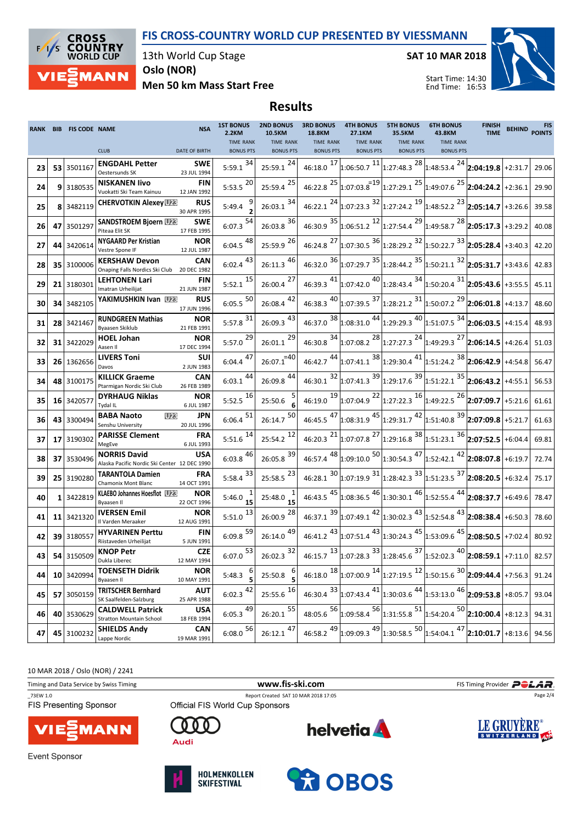FIS CROSS-COUNTRY WORLD CUP PRESENTED BY VIESSMANN



13th World Cup Stage

SAT 10 MAR 2018



Oslo (NOR)

Men 50 km Mass Start Free

## Results

|    | RANK BIB FIS CODE NAME | <b>NSA</b>                                                                              | <b>1ST BONUS</b><br>2.2KM            | 10.5KM                                          | 2ND BONUS 3RD BONUS<br>18.8KM        | <b>4TH BONUS</b><br>27.1KM           | <b>5TH BONUS</b><br>35.5KM                                                                                      | <b>6TH BONUS</b><br>43.8KM           | <b>FINISH</b><br><b>TIME</b> | <b>BEHIND</b> | <b>FIS</b><br><b>POINTS</b> |
|----|------------------------|-----------------------------------------------------------------------------------------|--------------------------------------|-------------------------------------------------|--------------------------------------|--------------------------------------|-----------------------------------------------------------------------------------------------------------------|--------------------------------------|------------------------------|---------------|-----------------------------|
|    |                        | <b>CLUB</b><br><b>DATE OF BIRTH</b>                                                     | <b>TIME RANK</b><br><b>BONUS PTS</b> | <b>TIME RANK</b><br><b>BONUS PTS</b>            | <b>TIME RANK</b><br><b>BONUS PTS</b> | <b>TIME RANK</b><br><b>BONUS PTS</b> | <b>TIME RANK</b><br><b>BONUS PTS</b>                                                                            | <b>TIME RANK</b><br><b>BONUS PTS</b> |                              |               |                             |
| 23 | 53 3501167             | <b>ENGDAHL Petter</b><br><b>SWE</b>                                                     | $5:59.1$ $34$                        | $25:59.1$ <sup>24</sup>                         |                                      |                                      | 46:18.0 $^{17}$ 1:06:50.7 $^{11}$ 1:27:48.3 $^{28}$ 1:48:53.4 $^{24}$ 2:04:19.8 +2:31.7                         |                                      |                              |               | 29.06                       |
|    |                        | 23 JUL 1994<br>Oestersunds SK<br><b>NISKANEN livo</b><br><b>FIN</b>                     |                                      |                                                 |                                      |                                      |                                                                                                                 |                                      |                              |               |                             |
| 24 | 9 3180535              | Vuokatti Ski Team Kainuu<br>12 JAN 1992                                                 | $5:53.5$ <sup>20</sup>               | 25<br>25:59.4                                   |                                      |                                      | 46:22.8 $^{25}$ 1:07:03.8 $^{219}$ 1:27:29.1 $^{25}$ 1:49:07.6 $^{25}$ 2:04:24.2 +2:36.1                        |                                      |                              |               | 29.90                       |
| 25 | 8 3482119              | <b>RUS</b><br><b>CHERVOTKIN Alexey UPR</b><br>30 APR 1995                               | 5:49.4                               | $26:03.1$ 34                                    |                                      |                                      | 46:22.1 $^{24}$ 1:07:23.3 $^{32}$ 1:27:24.2 $^{19}$ 1:48:52.2 $^{23}$ 2:05:14.7 +3:26.6                         |                                      |                              |               | 39.58                       |
| 26 | 47 3501297             | <b>SANDSTROEM Bjoern UPR</b><br><b>SWE</b><br>Piteaa Elit SK<br>17 FEB 1995             | $6:07.3$ <sup>54</sup>               | $26:03.8$ <sup>36</sup>                         |                                      |                                      | 46:30.9 $35$ 1:06:51.2 $12$ 1:27:54.4 $29$ 1:49:58.7 $28$ 2:05:17.3 +3:29.2                                     |                                      |                              |               | 40.08                       |
| 27 | 44 3420614             | <b>NYGAARD Per Kristian</b><br><b>NOR</b><br>Vestre Spone IF<br>12 JUL 1987             | $6:04.5$ <sup>48</sup>               | 25:59.9 26                                      |                                      |                                      | 46:24.8 <sup>27</sup> 1:07:30.5 <sup>36</sup> 1:28:29.2 <sup>32</sup> 1:50:22.7 <sup>33</sup> 2:05:28.4 +3:40.3 |                                      |                              |               | 42.20                       |
| 28 | 35 3100006             | CAN<br><b>KERSHAW Devon</b><br>Onaping Falls Nordics Ski Club 20 DEC 1982               | $6:02.4$ <sup>43</sup>               | $26:11.3$ <sup>46</sup>                         |                                      |                                      | 46:32.0 $36 _{1:07:29.7}$ $35 _{1:28:44.2}$ $35 _{1:50:21.1}$ $32 _{2:05:31.7} _{+3:43.6}$                      |                                      |                              |               | 42.83                       |
| 29 | 21 3180301             | <b>LEHTONEN Lari</b><br><b>FIN</b><br>21 JUN 1987<br>Imatran Urheilijat                 | $5:52.1$ <sup>15</sup>               | $26:00.4$ 27                                    |                                      |                                      | 46:39.3 $^{41}$ 1:07:42.0 $^{40}$ 1:28:43.4 $^{34}$ 1:50:20.4 $^{31}$ 2:05:43.6 +3:55.5                         |                                      |                              |               | 45.11                       |
| 30 | 34 3482105             | YAKIMUSHKIN Ivan<br><b>RUS</b><br>17 JUN 1996                                           | $6:05.5$ <sup>50</sup>               | 42<br>26:08.4                                   |                                      |                                      | 46:38.3 $^{40}$ 1:07:39.5 $^{37}$ 1:28:21.2 $^{31}$ 1:50:07.2 $^{29}$ 2:06:01.8 +4:13.7                         |                                      |                              |               | 48.60                       |
| 31 | 28 3421467             | <b>RUNDGREEN Mathias</b><br><b>NOR</b><br>Byaasen Skiklub<br>21 FEB 1991                | $5:57.8$ <sup>31</sup>               | $26:09.3 \begin{bmatrix} 43 \\ 1 \end{bmatrix}$ |                                      |                                      | 46:37.0 $38 _{1:08:31.0}$ $44 _{1:29:29.3}$ $40 _{1:51:07.5}$ $34 _{2:06:03.5} _{+4:15.4}$                      |                                      |                              |               | 48.93                       |
| 32 | 31 3422029             | <b>HOEL Johan</b><br><b>NOR</b><br>Aasen II<br>17 DEC 1994                              | $5:57.0$ <sup>29</sup>               | $26:01.1$ <sup>29</sup>                         |                                      |                                      | 46:30.8 $34$ 1:07:08.2 $28$ 1:27:27.3 $24$ 1:49:29.3 $27$ 2:06:14.5 +4:26.4                                     |                                      |                              |               | 51.03                       |
| 33 | 26   1362656           | <b>LIVERS Toni</b><br><b>SUI</b><br>Davos<br>2 JUN 1983                                 | 47<br>6:04.4                         | $26:07.1^{=40}$                                 |                                      |                                      | 46:42.7 $44 1:07:41.1$ $38 1:29:30.4$ $41 1:51:24.2$ $38 2:06:42.9 +4:54.8 $                                    |                                      |                              |               | 56.47                       |
| 34 | 48 3100175             | <b>KILLICK Graeme</b><br>CAN<br>Ptarmigan Nordic Ski Club<br>26 FEB 1989                | $6:03.1$ <sup>44</sup>               | $26:09.8$ <sup>44</sup>                         |                                      |                                      | 46:30.1 $32 $ 1:07:41.3 $39 $ 1:29:17.6 $39 $ 1:51:22.1 $35 $ <b>2:06:43.2</b> +4:55.1                          |                                      |                              |               | 56.53                       |
| 35 | 16 3420577             | <b>DYRHAUG Niklas</b><br><b>NOR</b><br>Tydal IL<br>6 JUL 1987                           | $5:52.5$ <sup>16</sup>               | 25:50.6                                         |                                      |                                      | 46:19.0 $^{19}$ 1:07:04.9 $^{22}$ 1:27:22.3 $^{16}$ 1:49:22.5 $^{26}$ 2:07:09.7 +5:21.6                         |                                      |                              |               | 61.61                       |
| 36 | 43 3300494             | <b>U23</b><br>JPN<br><b>BABA Naoto</b><br>Senshu University<br>20 JUL 1996              | $6:06.4$ <sup>51</sup>               | $26:14.7$ <sup>50</sup>                         |                                      |                                      | 46:45.5 $^{47}$ 1:08:31.9 $^{45}$ 1:29:31.7 $^{42}$ 1:51:40.8 $^{39}$ 2:07:09.8 +5:21.7                         |                                      |                              |               | 61.63                       |
| 37 | 17 3190302             | <b>PARISSE Clement</b><br><b>FRA</b><br>MegEve<br>6 JUL 1993                            | $5:51.6$ <sup>14</sup>               | $25:54.2$ <sup>12</sup>                         |                                      |                                      | 46:20.3 $^{21}$ 1:07:07.8 $^{27}$ 1:29:16.8 $^{38}$ 1:51:23.1 $^{36}$ 2:07:52.5 +6:04.4                         |                                      |                              |               | 69.81                       |
| 38 | 37 3530496             | <b>NORRIS David</b><br><b>USA</b><br>Alaska Pacific Nordic Ski Center 12 DEC 1990       | $6:03.8$ <sup>46</sup>               | $26:05.8$ <sup>39</sup>                         |                                      |                                      | 46:57.4 $^{48}$ 1:09:10.0 $^{50}$ 1:30:54.3 $^{47}$ 1:52:42.1 $^{42}$ 2:08:07.8 +6:19.7                         |                                      |                              |               | 72.74                       |
| 39 | 25 3190280             | <b>TARANTOLA Damien</b><br><b>FRA</b><br>Chamonix Mont Blanc<br>14 OCT 1991             | 5:58.4 $33$                          | $25:58.5$ <sup>23</sup>                         |                                      |                                      | 46:28.1 $30\Big 1.07:19.9\Big 31\Big 1.28:42.3\Big 33\Big 1.51:23.5\Big 37\Big 2:08:20.5\Big +6:32.4\Big 75.17$ |                                      |                              |               |                             |
| 40 | 1 3422819              | KLAEBO Johannes Hoesflot<br><b>NOR</b><br>Byaasen II<br>22 OCT 1996                     | 5:46.0<br>15                         | 25:48.0<br>15                                   |                                      |                                      | 46:43.5 $45$ 1:08:36.5 $46$ 1:30:30.1 $46$ 1:52:55.4 $44$ 2:08:37.7 +6:49.6                                     |                                      |                              |               | 78.47                       |
| 41 | 11 3421320             | <b>IVERSEN Emil</b><br><b>NOR</b><br>12 AUG 1991<br>Il Varden Meraaker                  | $5:51.0$ <sup>13</sup>               | $26:00.9$ <sup>28</sup>                         |                                      |                                      | 46:37.1 $39 1:07:49.1$ $42 1:30:02.3$ $43 1:52:54.8$ $43 2:08:38.4 +6:50.3$                                     |                                      |                              |               | 78.60                       |
| 42 | 39 3180557             | <b>FIN</b><br><b>HYVARINEN Perttu</b><br>5 JUN 1991<br>Riistaveden Urheilijat           | $6:09.8$ <sup>59</sup>               | 26:14.0 49                                      |                                      |                                      | 46:41.2 $^{43}$ 1:07:51.4 $^{43}$ 1:30:24.3 $^{45}$ 1:53:09.6 $^{45}$ 2:08:50.5 +7:02.4 80.92                   |                                      |                              |               |                             |
| 43 | 54 3150509             | <b>KNOP Petr</b><br><b>CZE</b><br>Dukla Liberec<br>12 MAY 1994                          | $6:07.0$ <sup>53</sup>               | $26:02.3$ <sup>32</sup>                         |                                      |                                      | 46:15.7 $^{13}$ 1:07:28.3 $^{33}$ 1:28:45.6 $^{37}$ 1:52:02.3 $^{40}$ 2:08:59.1 +7:11.0 82.57                   |                                      |                              |               |                             |
| 44 | 10 3420994             | <b>TOENSETH Didrik</b><br><b>NOR</b><br>10 MAY 1991<br>Byaasen II                       | 6<br>5:48.3<br>5                     | 6<br>25:50.8                                    |                                      |                                      | 46:18.0 $^{18}$ 1:07:00.9 $^{14}$ 1:27:19.5 $^{12}$ 1:50:15.6 $^{30}$ 2:09:44.4 +7:56.3                         |                                      |                              |               | 91.24                       |
| 45 | 57 3050159             | <b>TRITSCHER Bernhard</b><br><b>AUT</b><br>SK Saalfelden-Salzburg<br>25 APR 1988        | $6:02.3 \frac{42}{1}$                | $25:55.6$ <sup>16</sup>                         |                                      |                                      | 46:30.4 $33 $ 1:07:43.4 $41 $ 1:30:03.6 $44 $ 1:53:13.0 $46 $ <b>2:09:53.8</b> +8:05.7                          |                                      |                              |               | 93.04                       |
| 46 | 40 3530629             | <b>CALDWELL Patrick</b><br><b>USA</b><br><b>Stratton Mountain School</b><br>18 FEB 1994 | $6:05.3 \frac{49}{ }$                | $26:20.1$ <sup>55</sup>                         |                                      |                                      | 48:05.6 $^{56}$ 1:09:58.4 $^{56}$ 1:31:55.8 $^{51}$ 1:54:20.4 $^{50}$ 2:10:00.4 +8:12.3                         |                                      |                              |               | 94.31                       |
| 47 | 45 3100232             | <b>SHIELDS Andy</b><br><b>CAN</b><br>Lappe Nordic<br>19 MAR 1991                        | $6:08.0 \frac{56}{1}$                | $26:12.1$ <sup>47</sup>                         | 46:58.2 49                           |                                      | $\left  \frac{1:09:09.3}{49} \right $ 1:30:58.5 $^{50}$ 1:54:04.1 $^{47}$ 2:10:01.7 +8:13.6                     |                                      |                              |               | 94.56                       |

10 MAR 2018 / Oslo (NOR) / 2241

| Timing and Data Service by Swiss Timing |                                 | www.fis-ski.com                      | FIS Timing Provider <b>POLAR</b> . |  |  |
|-----------------------------------------|---------------------------------|--------------------------------------|------------------------------------|--|--|
| 73EW 1.0                                |                                 | Report Created SAT 10 MAR 2018 17:05 | Page 2/4                           |  |  |
| <b>FIS Presenting Sponsor</b>           | Official FIS World Cup Sponsors |                                      |                                    |  |  |
| <b>VIESMANN</b>                         | Audi                            | <b>helvetia</b>                      | LE GRUYERE®                        |  |  |
| Evant Chapper                           |                                 |                                      |                                    |  |  |

**Event Sponsor** 



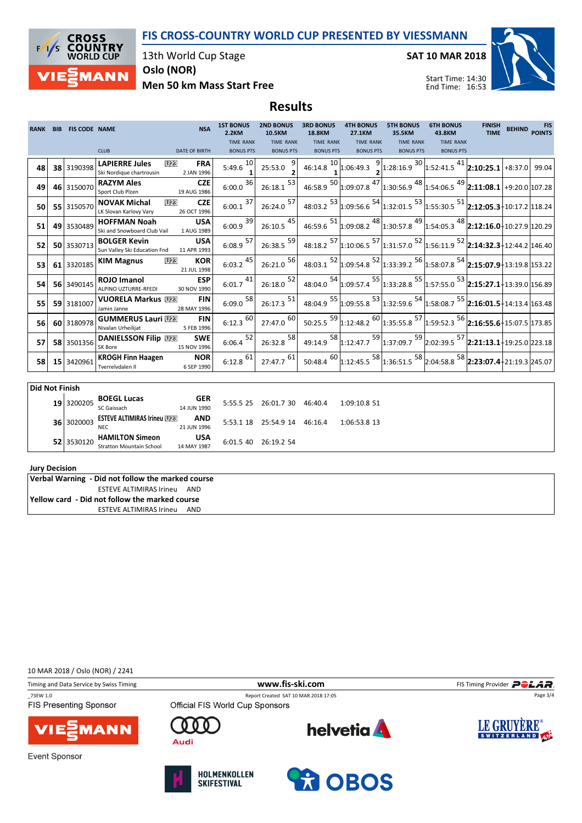FIS CROSS-COUNTRY WORLD CUP PRESENTED BY VIESSMANN



13th World Cup Stage

SAT 10 MAR 2018



Oslo (NOR)

Men 50 km Mass Start Free

## Results

| <b>RANK</b>           | <b>BIB</b> | <b>FIS CODE NAME</b> | <b>NSA</b>                                                                                       | <b>1ST BONUS</b><br>2.2KM | <b>2ND BONUS</b><br><b>10.5KM</b> | <b>3RD BONUS</b><br><b>18.8KM</b> | <b>4TH BONUS</b><br><b>27.1KM</b> | <b>5TH BONUS</b><br>35.5KM                                                                                                                | <b>6TH BONUS</b><br>43.8KM | <b>FINISH</b><br><b>TIME</b> | BEHIND POINTS | <b>FIS</b> |
|-----------------------|------------|----------------------|--------------------------------------------------------------------------------------------------|---------------------------|-----------------------------------|-----------------------------------|-----------------------------------|-------------------------------------------------------------------------------------------------------------------------------------------|----------------------------|------------------------------|---------------|------------|
|                       |            |                      |                                                                                                  | <b>TIME RANK</b>          | <b>TIME RANK</b>                  | <b>TIME RANK</b>                  | <b>TIME RANK</b>                  | <b>TIME RANK</b>                                                                                                                          | <b>TIME RANK</b>           |                              |               |            |
|                       |            |                      | <b>CLUB</b><br><b>DATE OF BIRTH</b>                                                              | <b>BONUS PTS</b>          | <b>BONUS PTS</b>                  | <b>BONUS PTS</b>                  | <b>BONUS PTS</b>                  | <b>BONUS PTS</b>                                                                                                                          | <b>BONUS PTS</b>           |                              |               |            |
| 48                    |            | 38 3190398           | <b>LAPIERRE Jules</b><br>U <sub>23</sub><br><b>FRA</b><br>Ski Nordique chartrousin<br>2 JAN 1996 | 10<br>5:49.6              | 25:53.0                           | 46:14.8 $\frac{10}{1}$ 1:06:49.3  |                                   | $\frac{9}{2}$ 1:28:16.9 $\frac{30}{1}$ 1:52:41.5 $\frac{41}{2}$ 2:10:25.1 +8:37.0 99.04                                                   |                            |                              |               |            |
| 49                    |            | 46 3150070           | <b>CZE</b><br><b>RAZYM Ales</b><br>19 AUG 1986<br>Sport Club Plzen                               | 36<br>6:00.0              | 53<br>26:18.1                     | $46:58.9$ $\overline{50}$         | $\sum_{1:09:07.8}^{17}$           | $1:30:56.9$ <sup>48</sup> 1:54:06.5 <sup>49</sup> 2:11:08.1 +9:20.0 107.28                                                                |                            |                              |               |            |
| 50                    |            | 55 3150570           | <b>U23</b><br><b>CZE</b><br><b>NOVAK Michal</b><br>LK Slovan Karlovy Vary<br>26 OCT 1996         | 37<br>6:00.1              | $26:24.0$ <sup>57</sup>           |                                   |                                   | 48:03.2 $\frac{53}{1:09:56.6}$ $\frac{54}{1:32:01.5}$ $\frac{53}{1:55:30.5}$ $\frac{51}{2:12:05.3}$ $\frac{1}{10:17.2}$ 118.24            |                            |                              |               |            |
| 51                    |            | 49 3530489           | <b>USA</b><br><b>HOFFMAN Noah</b><br>1 AUG 1989<br>Ski and Snowboard Club Vail                   | $6:00.9$ <sup>39</sup>    | $26:10.5$ <sup>45</sup>           |                                   |                                   | 46:59.6 $^{51}$ 1:09:08.2 $^{48}$ 1:30:57.8 $^{49}$ 1:54:05.3 $^{48}$ 2:12:16.0 10:27.9 120.29                                            |                            |                              |               |            |
| 52                    |            | 50 3530713           | <b>BOLGER Kevin</b><br><b>USA</b><br>Sun Valley Ski Education Fnd<br>11 APR 1993                 | $6:08.9$ <sup>57</sup>    | $26:38.5$ <sup>59</sup>           |                                   |                                   | 48:18.2 57 1:10:06.5 57 1:31:57.0 52 1:56:11.9 52 2:14:32.3 12:44.2 146.40                                                                |                            |                              |               |            |
| 53                    |            | 61 3320185           | <b>KOR</b><br><b>U23</b><br><b>KIM Magnus</b><br>21 JUL 1998                                     | $6:03.2 \frac{45}{1}$     | 56<br>26:21.0                     |                                   |                                   | 48:03.1 $52 $ 1:09:54.8 $52 $ 1:33:39.2 $56 $ 1:58:07.8 $54 $ 2:15:07.9 13:19.8 153.22                                                    |                            |                              |               |            |
| 54                    |            | 56 3490145           | <b>ESP</b><br><b>ROJO Imanol</b><br>ALPINO UZTURRE-RFEDI<br>30 NOV 1990                          | $6:01.7 \frac{41}{1}$     | 52<br>26:18.0                     |                                   |                                   | 48:04.0 $^{54}$ 1:09:57.4 $^{55}$ 1:33:28.8 $^{55}$ 1:57:55.0 $^{53}$ 2:15:27.1 + 13:39.0 156.89                                          |                            |                              |               |            |
| 55                    |            | 59 3181007           | <b>VUORELA Markus</b><br><b>FIN</b><br>Jamin Janne<br>28 MAY 1996                                | 58<br>6:09.0              | $26:17.3$ <sup>51</sup>           |                                   |                                   | 48:04.9 55 1:09:55.8 53 1:32:59.6 54 1:58:08.7 55 2:16:01.5 14:13.4 163.48                                                                |                            |                              |               |            |
| 56                    |            | 60 3180978           | <b>FIN</b><br><b>GUMMERUS Lauri W&amp;</b><br>Nivalan Urheilijat<br>5 FEB 1996                   | $6:12.3$ $\overline{60}$  | 60<br>27:47.0                     |                                   |                                   | 50:25.5 $\frac{59}{1:12:48.2}$ $\frac{60}{1:35:55.8}$ $\frac{57}{1:59:52.3}$ $\frac{56}{2:16:55.6}$ $\frac{1}{1:07.5}$ $\frac{1}{173.85}$ |                            |                              |               |            |
| 57                    |            | 58 3501356           | <b>DANIELSSON Filip U28</b><br><b>SWE</b><br>SK Bore<br>15 NOV 1996                              | 52<br>6:06.4              | 58<br>26:32.8                     |                                   |                                   | 49:14.9 $\frac{58}{1:12:47.7}$ $\frac{59}{1:37:09.7}$ $\frac{59}{2:02:39.5}$ $\frac{57}{2:21:13.1}$ $\frac{1}{1:9:25.0}$ 223.18           |                            |                              |               |            |
| 58                    |            | 15 3420961           | <b>KROGH Finn Haagen</b><br><b>NOR</b><br>Tverrelvdalen II<br>6 SEP 1990                         | $6:12.8$ $61$             | $27:47.7$ <sup>61</sup>           |                                   |                                   | 50:48.4 $^{60}$ 1:12:45.5 $^{58}$ 1:36:51.5 $^{58}$ 2:04:58.8 $^{58}$ 2:23:07.4 $\frac{1}{2}$ 1:19.3 245.07                               |                            |                              |               |            |
|                       |            |                      |                                                                                                  |                           |                                   |                                   |                                   |                                                                                                                                           |                            |                              |               |            |
| <b>Did Not Finish</b> |            |                      |                                                                                                  |                           |                                   |                                   |                                   |                                                                                                                                           |                            |                              |               |            |
|                       |            | .                    | <b>GER</b><br><b>BOEGL Lucas</b>                                                                 |                           | -------------                     |                                   |                                   |                                                                                                                                           |                            |                              |               |            |

| 19 3200205   | <b>BOEGL Lucas</b>                                        | <b>GER</b>                |             | 5:55.5 25 26:01.7 30 46:40.4 | 1:09:10.851  |
|--------------|-----------------------------------------------------------|---------------------------|-------------|------------------------------|--------------|
|              | SC Gaissach                                               | 14 JUN 1990               |             |                              |              |
| 36 3020003   | <b>ESTEVE ALTIMIRAS Irineu WEB</b><br>NEC.                | <b>AND</b><br>21 JUN 1996 |             | 5:53.1 18 25:54.9 14 46:16.4 | 1:06:53.8 13 |
| $52$ 3530120 | <b>HAMILTON Simeon</b><br><b>Stratton Mountain School</b> | <b>USA</b><br>14 MAY 1987 | $6:01.5$ 40 | 26:19.2.54                   |              |

## Jury Decision

Verbal Warning - Did not follow the marked course ESTEVE ALTIMIRAS Irineu AND Yellow card - Did not follow the marked course ESTEVE ALTIMIRAS Irineu AND

10 MAR 2018 / Oslo (NOR) / 2241

Timing and Data Service by Swiss Timing **Filter and Data Service by Swiss Timing Provider** Page 3/4

\_73EW 1.0 Report Created SAT 10 MAR 2018 17:05 **FIS Presenting Sponsor** 





**Event Sponsor** 



O  $\Gamma$ 

Audi



**ROBOS**